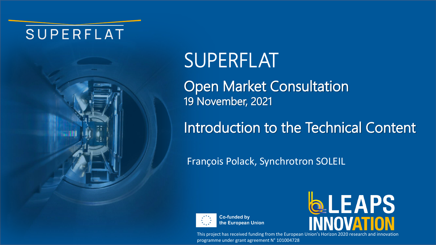## SUPERFLAT



Open Market Consultation 19 November, 2021

# Introduction to the Technical Content

François Polack, Synchrotron SOLEIL



**Co-funded by** the European Union



This project has received funding from the European Union's Horizon 2020 research and innovation programme under grant agreement N° 101004728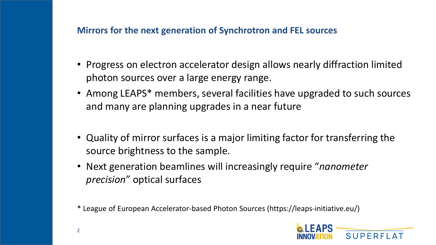### **Mirrors for the next generation of Synchrotron and FEL sources**

- Progress on electron accelerator design allows nearly diffraction limited photon sources over a large energy range.
- Among LEAPS<sup>\*</sup> members, several facilities have upgraded to such sources and many are planning upgrades in a near future
- Quality of mirror surfaces is a major limiting factor for transferring the source brightness to the sample.
- Next generation beamlines will increasingly require "*nanometer precision*" optical surfaces

\* League of European Accelerator-based Photon Sources (https://leaps-initiative.eu/)

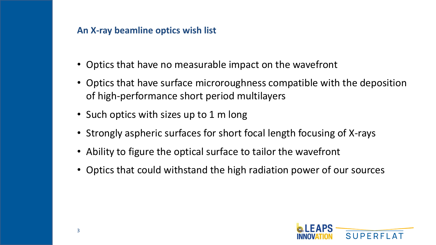## **An X-ray beamline optics wish list**

- Optics that have no measurable impact on the wavefront
- Optics that have surface microroughness compatible with the deposition of high-performance short period multilayers
- Such optics with sizes up to 1 m long
- Strongly aspheric surfaces for short focal length focusing of X-rays
- Ability to figure the optical surface to tailor the wavefront
- Optics that could withstand the high radiation power of our sources

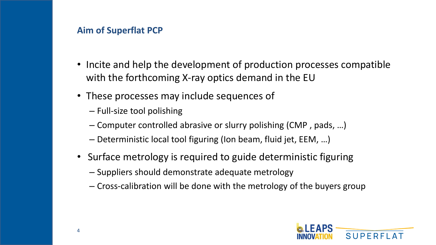#### **Aim of Superflat PCP**

- Incite and help the development of production processes compatible with the forthcoming X-ray optics demand in the EU
- These processes may include sequences of
	- Full-size tool polishing
	- Computer controlled abrasive or slurry polishing (CMP , pads, …)
	- Deterministic local tool figuring (Ion beam, fluid jet, EEM, …)
- Surface metrology is required to guide deterministic figuring
	- Suppliers should demonstrate adequate metrology
	- Cross-calibration will be done with the metrology of the buyers group

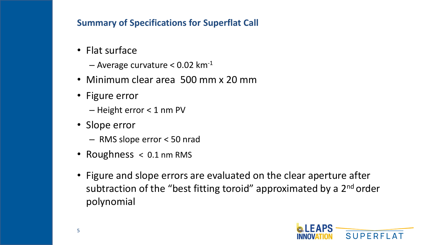## **Summary of Specifications for Superflat Call**

- Flat surface
	- $-$  Average curvature < 0.02 km<sup>-1</sup>
- Minimum clear area 500 mm x 20 mm
- Figure error
	- Height error < 1 nm PV
- Slope error
	- RMS slope error < 50 nrad
- Roughness < 0.1 nm RMS
- Figure and slope errors are evaluated on the clear aperture after subtraction of the "best fitting toroid" approximated by a 2<sup>nd</sup> order polynomial

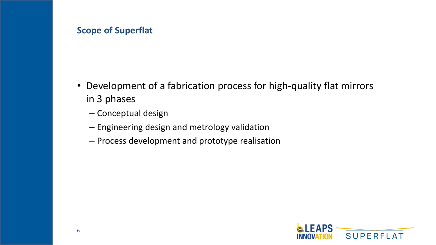#### **Scope of Superflat**

- Development of a fabrication process for high-quality flat mirrors in 3 phases
	- Conceptual design
	- Engineering design and metrology validation
	- Process development and prototype realisation

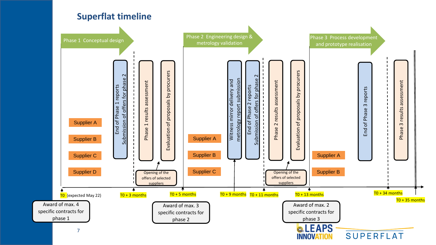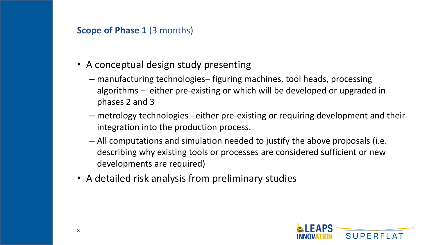#### **Scope of Phase 1 (3 months)**

- A conceptual design study presenting
	- manufacturing technologies‒ figuring machines, tool heads, processing algorithms – either pre-existing or which will be developed or upgraded in phases 2 and 3
	- metrology technologies either pre-existing or requiring development and their integration into the production process.
	- All computations and simulation needed to justify the above proposals (i.e. describing why existing tools or processes are considered sufficient or new developments are required)
- A detailed risk analysis from preliminary studies

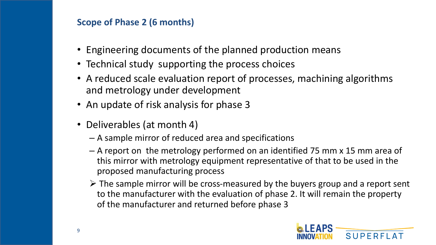## **Scope of Phase 2 (6 months)**

- Engineering documents of the planned production means
- Technical study supporting the process choices
- A reduced scale evaluation report of processes, machining algorithms and metrology under development
- An update of risk analysis for phase 3
- Deliverables (at month 4)
	- A sample mirror of reduced area and specifications
	- A report on the metrology performed on an identified 75 mm x 15 mm area of this mirror with metrology equipment representative of that to be used in the proposed manufacturing process
	- ➢ The sample mirror will be cross-measured by the buyers group and a report sent to the manufacturer with the evaluation of phase 2. It will remain the property of the manufacturer and returned before phase 3

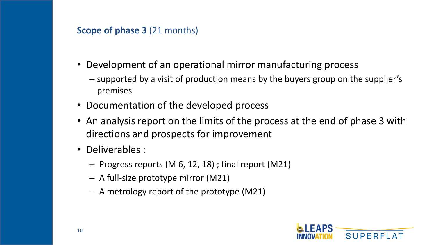#### **Scope of phase 3** (21 months)

- Development of an operational mirror manufacturing process
	- supported by a visit of production means by the buyers group on the supplier's premises
- Documentation of the developed process
- An analysis report on the limits of the process at the end of phase 3 with directions and prospects for improvement
- Deliverables :
	- Progress reports (M 6, 12, 18) ; final report (M21)
	- A full-size prototype mirror (M21)
	- A metrology report of the prototype (M21)

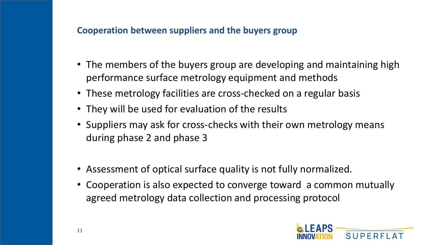#### **Cooperation between suppliers and the buyers group**

- The members of the buyers group are developing and maintaining high performance surface metrology equipment and methods
- These metrology facilities are cross-checked on a regular basis
- They will be used for evaluation of the results
- Suppliers may ask for cross-checks with their own metrology means during phase 2 and phase 3
- Assessment of optical surface quality is not fully normalized.
- Cooperation is also expected to converge toward a common mutually agreed metrology data collection and processing protocol

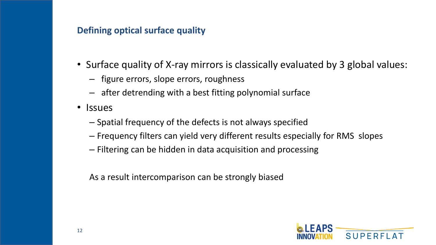## **Defining optical surface quality**

- Surface quality of X-ray mirrors is classically evaluated by 3 global values:
	- figure errors, slope errors, roughness
	- after detrending with a best fitting polynomial surface
- Issues
	- Spatial frequency of the defects is not always specified
	- Frequency filters can yield very different results especially for RMS slopes
	- Filtering can be hidden in data acquisition and processing

As a result intercomparison can be strongly biased

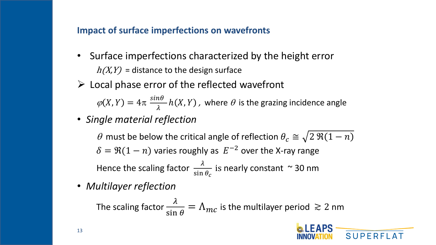#### **Impact of surface imperfections on wavefronts**

- Surface imperfections characterized by the height error  $h(X, Y)$  = distance to the design surface
- $\triangleright$  Local phase error of the reflected wavefront  $\varphi(X, Y) = 4\pi \frac{\sin \theta}{\lambda}$  $\lambda$  $h(X,Y)$  , where  $\theta$  is the grazing incidence angle
- *Single material reflection*

 $\theta$  must be below the critical angle of reflection  $\theta_c \cong \sqrt{2 \Re(1-n)}$  $\delta = \Re(1 - n)$  varies roughly as  $|E^{-2}|$  over the X-ray range Hence the scaling factor  $\frac{\lambda}{\sin \theta}$ sin  $\theta_c$ is nearly constant ~ 30 nm

• *Multilayer reflection*

The scaling factor  $\frac{\lambda}{\sin \lambda}$  $\frac{\lambda}{\sin \theta} = \Lambda_{mc}$  is the multilayer period  $\geq 2$  nm

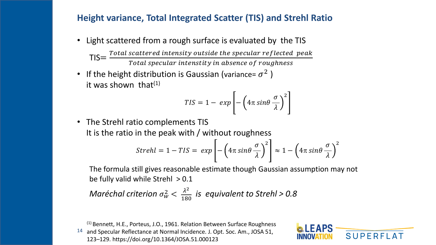#### **Height variance, Total Integrated Scatter (TIS) and Strehl Ratio**

• Light scattered from a rough surface is evaluated by the TIS

 $TIS = \frac{Total scattered intensity outside the specular reflected peak}{Total research intensity in absence of results.}$ Total specular intenstity in absence of roughness

• If the height distribution is Gaussian (variance=  $\sigma^2$  ) it was shown that $(1)$ 

$$
TIS = 1 - exp\left[-\left(4\pi sin\theta \frac{\sigma}{\lambda}\right)^2\right]
$$

• The Strehl ratio complements TIS It is the ratio in the peak with / without roughness

$$
Strehl = 1 - TIS = exp\left[-\left(4\pi sin\theta \frac{\sigma}{\lambda}\right)^2\right] \approx 1 - \left(4\pi sin\theta \frac{\sigma}{\lambda}\right)^2
$$

The formula still gives reasonable estimate though Gaussian assumption may not be fully valid while Strehl  $> 0.1$ 

*Maréchal criterion*  $\sigma_w^2 < \frac{\lambda^2}{180}$  *is equivalent to Strehl > 0.8* 

14 (1) Bennett, H.E., Porteus, J.O., 1961. Relation Between Surface Roughness and Specular Reflectance at Normal Incidence. J. Opt. Soc. Am., JOSA 51, 123–129. https://doi.org/10.1364/JOSA.51.000123

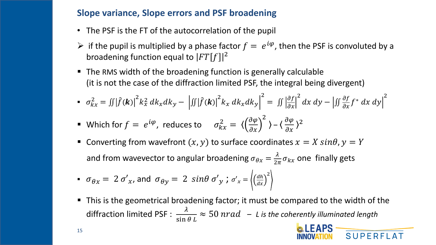#### **Slope variance, Slope errors and PSF broadening**

- The PSF is the FT of the autocorrelation of the pupil
- $\triangleright$  if the pupil is multiplied by a phase factor  $f = e^{i\varphi}$ , then the PSF is convoluted by a broadening function equal to  $|FT[f]|^2$
- The RMS width of the broadening function is generally calculable (it is not the case of the diffraction limited PSF, the integral being divergent)

$$
\bullet \quad \sigma_{kx}^2 = \iint \left| \hat{f}(\mathbf{k}) \right|^2 k_x^2 \, dk_x dk_y - \left| \iint \left| \hat{f}(\mathbf{k}) \right|^2 k_x \, dk_x dk_y \right|^2 = \iint \left| \frac{\partial f}{\partial x} \right|^2 dx \, dy - \left| \iint \frac{\partial f}{\partial x} f^* \, dx \, dy \right|^2
$$

■ Which for 
$$
f = e^{i\varphi}
$$
, reduces to  $\sigma_{kx}^2 = \left\langle \left(\frac{\partial \varphi}{\partial x}\right)^2 \right\rangle - \left\langle \frac{\partial \varphi}{\partial x} \right\rangle^2$ 

■ Converting from wavefront  $(x, y)$  to surface coordinates  $x = X \sin\theta$ ,  $y = Y$ and from wavevector to angular broadening  $\sigma_{\theta x} = \frac{\lambda}{2\pi} \sigma_{kx}$  one finally gets

• 
$$
\sigma_{\theta x} = 2 \sigma'_x
$$
, and  $\sigma_{\theta y} = 2 \sin \theta \sigma'_y$ ;  $\sigma'_x = \left\langle \left(\frac{dh}{dx}\right)^2 \right\rangle$ 

■ This is the geometrical broadening factor; it must be compared to the width of the diffraction limited PSF :  $\frac{\lambda}{\sin \theta}$  $\sin \theta L$  $\approx$  50  $nrad$  – L is the coherently illuminated length



15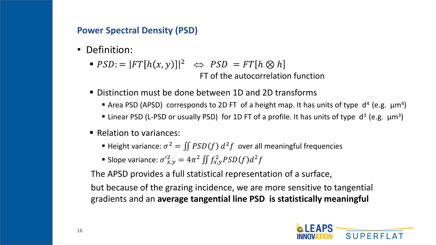## **Power Spectral Density (PSD)**

- Definition:
	- $\blacksquare$   $PSD := |FT[h(x, y)]|^2 \Leftrightarrow PSD = FT[h \otimes h]$ FT of the autocorrelation function
	- Distinction must be done between 1D and 2D transforms
		- **E** Area PSD (APSD) corresponds to 2D FT of a height map. It has units of type  $d^4$  (e.g.  $\mu$ m<sup>4</sup>)
		- **E** Linear PSD (L-PSD or usually PSD) for 1D FT of a profile. It has units of type  $d^3$  (e.g.  $\mu m^3$ )
	- Relation to variances:
		- **Example 1** Height variance:  $\sigma^2 = \iint PSD(f) d^2f$  over all meaningful frequencies
		- Slope variance:  $\sigma'_{x,y}^2 = 4\pi^2 \iint f_{x,y}^2 PSD(f) d^2f$

The APSD provides a full statistical representation of a surface,

but because of the grazing incidence, we are more sensitive to tangential gradients and an **average tangential line PSD is statistically meaningful**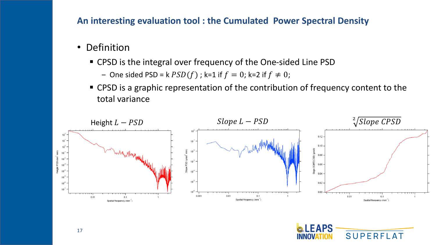#### **An interesting evaluation tool : the Cumulated Power Spectral Density**

- Definition
	- CPSD is the integral over frequency of the One-sided Line PSD
		- One sided PSD = k  $PSD(f)$ ; k=1 if  $f = 0$ ; k=2 if  $f \neq 0$ ;
	- CPSD is a graphic representation of the contribution of frequency content to the total variance



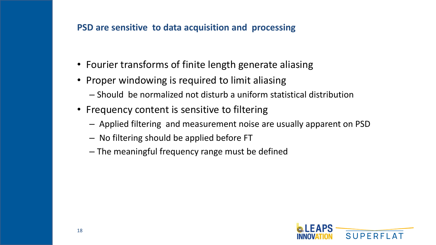## **PSD are sensitive to data acquisition and processing**

- Fourier transforms of finite length generate aliasing
- Proper windowing is required to limit aliasing
	- Should be normalized not disturb a uniform statistical distribution
- Frequency content is sensitive to filtering
	- Applied filtering and measurement noise are usually apparent on PSD
	- No filtering should be applied before FT
	- The meaningful frequency range must be defined

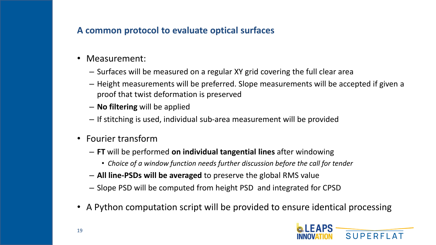## **A common protocol to evaluate optical surfaces**

- Measurement:
	- Surfaces will be measured on a regular XY grid covering the full clear area
	- Height measurements will be preferred. Slope measurements will be accepted if given a proof that twist deformation is preserved
	- **No filtering** will be applied
	- If stitching is used, individual sub-area measurement will be provided
- Fourier transform
	- **FT** will be performed **on individual tangential lines** after windowing
		- *Choice of a window function needs further discussion before the call for tender*
	- **All line-PSDs will be averaged** to preserve the global RMS value
	- Slope PSD will be computed from height PSD and integrated for CPSD
- A Python computation script will be provided to ensure identical processing

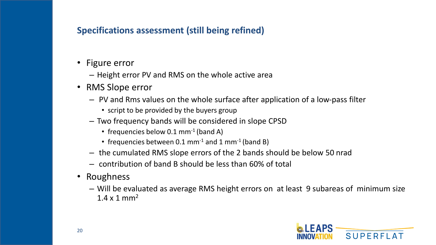## **Specifications assessment (still being refined)**

- Figure error
	- Height error PV and RMS on the whole active area
- RMS Slope error
	- PV and Rms values on the whole surface after application of a low-pass filter
		- script to be provided by the buyers group
	- Two frequency bands will be considered in slope CPSD
		- frequencies below  $0.1$  mm<sup>-1</sup> (band A)
		- frequencies between  $0.1$  mm<sup>-1</sup> and  $1$  mm<sup>-1</sup> (band B)
	- the cumulated RMS slope errors of the 2 bands should be below 50 nrad
	- contribution of band B should be less than 60% of total
- Roughness
	- Will be evaluated as average RMS height errors on at least 9 subareas of minimum size  $1.4 \times 1 \text{ mm}^2$